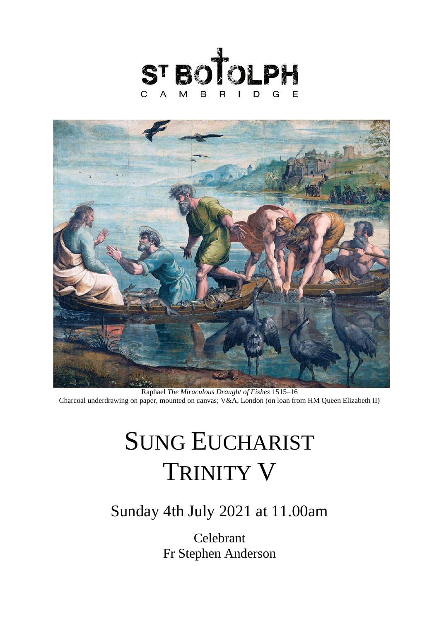



Raphael *The Miraculous Draught of Fishes* 1515–16 Charcoal underdrawing on paper, mounted on canvas; V&A, London (on loan from HM Queen Elizabeth II)

# SUNG EUCHARIST TRINITY V

## Sunday 4th July 2021 at 11.00am

Celebrant Fr Stephen Anderson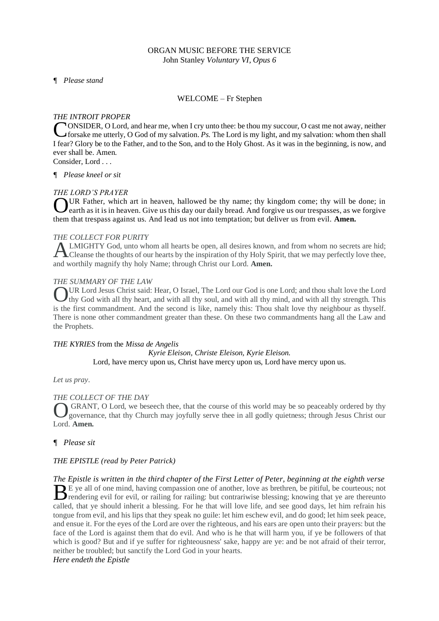#### ORGAN MUSIC BEFORE THE SERVICE John Stanley *Voluntary VI, Opus 6*

*¶ Please stand* 

#### WELCOME – Fr Stephen

#### *THE INTROIT PROPER*

ONSIDER, O Lord, and hear me, when I cry unto thee: be thou my succour, O cast me not away, neither **for all the me** utterly, O God of my salvation. *Ps*. The Lord is my light, and my salvation: whom then shall for sake me utterly, O God of my salvation. *Ps*. The Lord is my light, and my salvation: whom then shall I fear? Glory be to the Father, and to the Son, and to the Holy Ghost. As it was in the beginning, is now, and ever shall be. Amen.

Consider, Lord . . .

*¶ Please kneel or sit*

#### *THE LORD'S PRAYER*

UR Father, which art in heaven, hallowed be thy name; thy kingdom come; thy will be done; in earth as it is in heaven. Give us this day our daily bread. And forgive us our trespasses, as we forgive earth as it is in heaven. Give us this day our daily bread. And forgive us our trespasses, as we forgive them that trespass against us. And lead us not into temptation; but deliver us from evil. **Amen.**

#### *THE COLLECT FOR PURITY*

LMIGHTY God, unto whom all hearts be open, all desires known, and from whom no secrets are hid; Cleanse the thoughts of our hearts by the inspiration of thy Holy Spirit, that we may perfectly love thee, and worthily magnify thy holy Name; through Christ our Lord. **Amen.**  A

#### *THE SUMMARY OF THE LAW*

UR Lord Jesus Christ said: Hear, O Israel, The Lord our God is one Lord; and thou shalt love the Lord UR Lord Jesus Christ said: Hear, O Israel, The Lord our God is one Lord; and thou shalt love the Lord thy God with all thy heart, and with all thy soul, and with all thy mind, and with all thy strength. This is the first commandment. And the second is like, namely this: Thou shalt love thy neighbour as thyself. There is none other commandment greater than these. On these two commandments hang all the Law and the Prophets.

#### *THE KYRIES* from the *Missa de Angelis*

*Kyrie Eleison, Christe Eleison, Kyrie Eleison.* Lord, have mercy upon us, Christ have mercy upon us, Lord have mercy upon us.

#### *Let us pray*.

#### *THE COLLECT OF THE DAY*

GRANT, O Lord, we beseech thee, that the course of this world may be so peaceably ordered by thy governance, that thy Church may joyfully serve thee in all godly quietness; through Jesus Christ our Lord. **Amen.** O

#### *¶ Please sit*

#### *THE EPISTLE (read by Peter Patrick)*

*The Epistle is written in the third chapter of the First Letter of Peter, beginning at the eighth verse*  E ye all of one mind, having compassion one of another, love as brethren, be pitiful, be courteous; not  $B<sup>E</sup>$  ye all of one mind, having compassion one of another, love as brethren, be pitiful, be courteous; not rendering evil for evil, or railing for railing: but contrariwise blessing; knowing that ye are thereunto called, that ye should inherit a blessing. For he that will love life, and see good days, let him refrain his tongue from evil, and his lips that they speak no guile: let him eschew evil, and do good; let him seek peace, and ensue it. For the eyes of the Lord are over the righteous, and his ears are open unto their prayers: but the face of the Lord is against them that do evil. And who is he that will harm you, if ye be followers of that which is good? But and if ye suffer for righteousness' sake, happy are ye: and be not afraid of their terror, neither be troubled; but sanctify the Lord God in your hearts.

### *Here endeth the Epistle*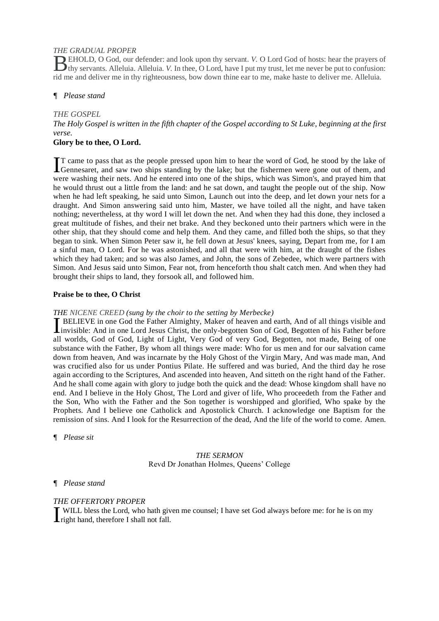#### *THE GRADUAL PROPER*

EHOLD, O God, our defender: and look upon thy servant. *V.* O Lord God of hosts: hear the prayers of **the EHOLD**, O God, our defender: and look upon thy servant. *V*. O Lord God of hosts: hear the prayers of thy servants. Alleluia. Alleluia. *V*. In thee, O Lord, have I put my trust, let me never be put to confusion: rid me and deliver me in thy righteousness, bow down thine ear to me, make haste to deliver me. Alleluia.

#### *¶ Please stand*

#### *THE GOSPEL*

*The Holy Gospel is written in the fifth chapter of the Gospel according to St Luke, beginning at the first verse.*

#### **Glory be to thee, O Lord.**

T came to pass that as the people pressed upon him to hear the word of God, he stood by the lake of IT came to pass that as the people pressed upon him to hear the word of God, he stood by the lake of Gennesaret, and saw two ships standing by the lake; but the fishermen were gone out of them, and were washing their nets. And he entered into one of the ships, which was Simon's, and prayed him that he would thrust out a little from the land: and he sat down, and taught the people out of the ship. Now when he had left speaking, he said unto Simon, Launch out into the deep, and let down your nets for a draught. And Simon answering said unto him, Master, we have toiled all the night, and have taken nothing; nevertheless, at thy word I will let down the net. And when they had this done, they inclosed a great multitude of fishes, and their net brake. And they beckoned unto their partners which were in the other ship, that they should come and help them. And they came, and filled both the ships, so that they began to sink. When Simon Peter saw it, he fell down at Jesus' knees, saying, Depart from me, for I am a sinful man, O Lord. For he was astonished, and all that were with him, at the draught of the fishes which they had taken; and so was also James, and John, the sons of Zebedee, which were partners with Simon. And Jesus said unto Simon, Fear not, from henceforth thou shalt catch men. And when they had brought their ships to land, they forsook all, and followed him.

#### **Praise be to thee, O Christ**

#### *THE NICENE CREED (sung by the choir to the setting by Merbecke)*

BELIEVE in one God the Father Almighty, Maker of heaven and earth, And of all things visible and **I** BELIEVE in one God the Father Almighty, Maker of heaven and earth, And of all things visible and invisible: And in one Lord Jesus Christ, the only-begotten Son of God, Begotten of his Father before all worlds, God of God, Light of Light, Very God of very God, Begotten, not made, Being of one substance with the Father, By whom all things were made: Who for us men and for our salvation came down from heaven, And was incarnate by the Holy Ghost of the Virgin Mary, And was made man, And was crucified also for us under Pontius Pilate. He suffered and was buried, And the third day he rose again according to the Scriptures, And ascended into heaven, And sitteth on the right hand of the Father. And he shall come again with glory to judge both the quick and the dead: Whose kingdom shall have no end. And I believe in the Holy Ghost, The Lord and giver of life, Who proceedeth from the Father and the Son, Who with the Father and the Son together is worshipped and glorified, Who spake by the Prophets. And I believe one Catholick and Apostolick Church. I acknowledge one Baptism for the remission of sins. And I look for the Resurrection of the dead, And the life of the world to come. Amen.

*¶ Please sit*

#### *THE SERMON* Revd Dr Jonathan Holmes, Queens' College

#### *¶ Please stand*

#### *THE OFFERTORY PROPER*

WILL bless the Lord, who hath given me counsel; I have set God always before me: for he is on my WILL bless the Lord, who hath give<br>
right hand, therefore I shall not fall.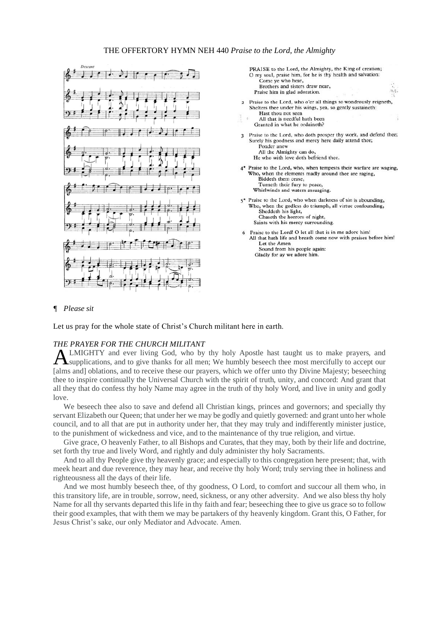#### THE OFFERTORY HYMN NEH 440 *Praise to the Lord, the Almighty*





#### *¶ Please sit*

Let us pray for the whole state of Christ's Church militant here in earth.

#### *THE PRAYER FOR THE CHURCH MILITANT*

LMIGHTY and ever living God, who by thy holy Apostle hast taught us to make prayers, and supplications, and to give thanks for all men; We humbly beseech thee most mercifully to accept our [alms and] oblations, and to receive these our prayers, which we offer unto thy Divine Majesty; beseeching thee to inspire continually the Universal Church with the spirit of truth, unity, and concord: And grant that all they that do confess thy holy Name may agree in the truth of thy holy Word, and live in unity and godly love. A

We beseech thee also to save and defend all Christian kings, princes and governors; and specially thy servant Elizabeth our Queen; that under her we may be godly and quietly governed: and grant unto her whole council, and to all that are put in authority under her, that they may truly and indifferently minister justice, to the punishment of wickedness and vice, and to the maintenance of thy true religion, and virtue.

Give grace, O heavenly Father, to all Bishops and Curates, that they may, both by their life and doctrine, set forth thy true and lively Word, and rightly and duly administer thy holy Sacraments.

And to all thy People give thy heavenly grace; and especially to this congregation here present; that, with meek heart and due reverence, they may hear, and receive thy holy Word; truly serving thee in holiness and righteousness all the days of their life.

And we most humbly beseech thee, of thy goodness, O Lord, to comfort and succour all them who, in this transitory life, are in trouble, sorrow, need, sickness, or any other adversity. And we also bless thy holy Name for all thy servants departed this life in thy faith and fear; beseeching thee to give us grace so to follow their good examples, that with them we may be partakers of thy heavenly kingdom. Grant this, O Father, for Jesus Christ's sake, our only Mediator and Advocate. Amen.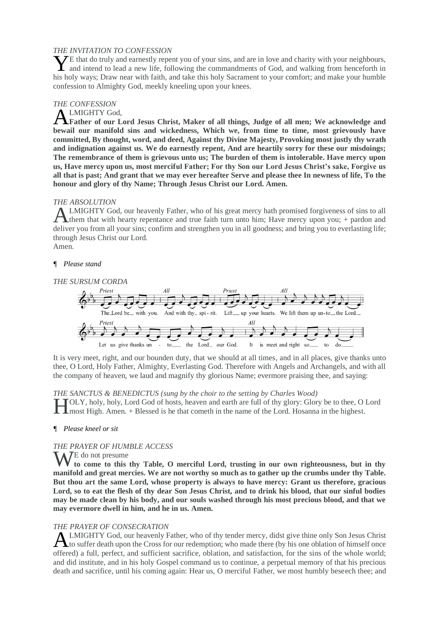#### *THE INVITATION TO CONFESSION*

 $\angle$ E that do truly and earnestly repent you of your sins, and are in love and charity with your neighbours, The that do truly and earnestly repent you of your sins, and are in love and charity with your neighbours, and intend to lead a new life, following the commandments of God, and walking from henceforth in his holy ways; Draw near with faith, and take this holy Sacrament to your comfort; and make your humble confession to Almighty God, meekly kneeling upon your knees.

#### *THE CONFESSION*

#### LMIGHTY God,

**Father of our Lord Jesus Christ, Maker of all things, Judge of all men; We acknowledge and bewail our manifold sins and wickedness, Which we, from time to time, most grievously have committed, By thought, word, and deed, Against thy Divine Majesty, Provoking most justly thy wrath and indignation against us. We do earnestly repent, And are heartily sorry for these our misdoings; The remembrance of them is grievous unto us; The burden of them is intolerable. Have mercy upon us, Have mercy upon us, most merciful Father; For thy Son our Lord Jesus Christ's sake, Forgive us all that is past; And grant that we may ever hereafter Serve and please thee In newness of life, To the honour and glory of thy Name; Through Jesus Christ our Lord. Amen.**  A

#### *THE ABSOLUTION*

LMIGHTY God, our heavenly Father, who of his great mercy hath promised forgiveness of sins to all them that with hearty repentance and true faith turn unto him; Have mercy upon you; + pardon and deliver you from all your sins; confirm and strengthen you in all goodness; and bring you to everlasting life; through Jesus Christ our Lord. Amen. A

#### *¶ Please stand*



It is very meet, right, and our bounden duty, that we should at all times, and in all places, give thanks unto thee, O Lord, Holy Father, Almighty, Everlasting God. Therefore with Angels and Archangels, and with all the company of heaven, we laud and magnify thy glorious Name; evermore praising thee, and saying:

#### *THE SANCTUS & BENEDICTUS (sung by the choir to the setting by Charles Wood)*

OLY, holy, holy, Lord God of hosts, heaven and earth are full of thy glory: Glory be to thee, O Lord most High. Amen. + Blessed is he that cometh in the name of the Lord. Hosanna in the highest. most High. Amen. + Blessed is he that cometh in the name of the Lord. Hosanna in the highest.

#### *¶ Please kneel or sit*

#### *THE PRAYER OF HUMBLE ACCESS*

W<sup>E</sup> do not presume **to come to this thy Table, O merciful Lord, trusting in our own righteousness, but in thy manifold and great mercies. We are not worthy so much as to gather up the crumbs under thy Table. But thou art the same Lord, whose property is always to have mercy: Grant us therefore, gracious Lord, so to eat the flesh of thy dear Son Jesus Christ, and to drink his blood, that our sinful bodies may be made clean by his body, and our souls washed through his most precious blood, and that we may evermore dwell in him, and he in us. Amen.** 

#### *THE PRAYER OF CONSECRATION*

LMIGHTY God, our heavenly Father, who of thy tender mercy, didst give thine only Son Jesus Christ ALMIGHTY God, our heavenly Father, who of thy tender mercy, didst give thine only Son Jesus Christ<br>to suffer death upon the Cross for our redemption; who made there (by his one oblation of himself once offered) a full, perfect, and sufficient sacrifice, oblation, and satisfaction, for the sins of the whole world; and did institute, and in his holy Gospel command us to continue, a perpetual memory of that his precious death and sacrifice, until his coming again: Hear us, O merciful Father, we most humbly beseech thee; and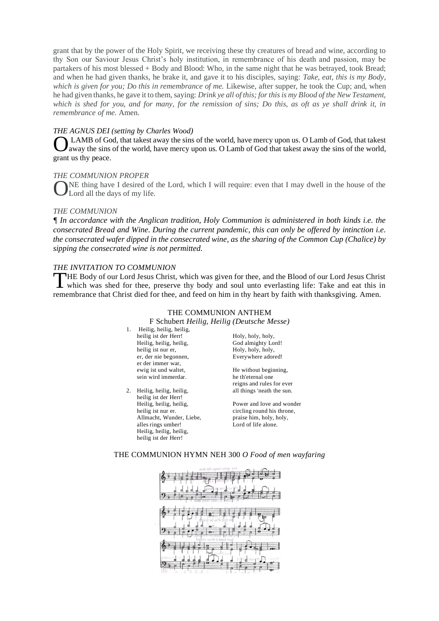grant that by the power of the Holy Spirit, we receiving these thy creatures of bread and wine, according to thy Son our Saviour Jesus Christ's holy institution, in remembrance of his death and passion, may be partakers of his most blessed + Body and Blood: Who, in the same night that he was betrayed, took Bread; and when he had given thanks, he brake it, and gave it to his disciples, saying: *Take, eat, this is my Body, which is given for you; Do this in remembrance of me.* Likewise, after supper, he took the Cup; and, when he had given thanks, he gave it to them, saying: *Drink ye all of this; for this is my Blood of the New Testament, which is shed for you, and for many, for the remission of sins; Do this, as oft as ye shall drink it, in remembrance of me.* Amen.

#### *THE AGNUS DEI (setting by Charles Wood)*

LAMB of God, that takest away the sins of the world, have mercy upon us. O Lamb of God, that takest away the sins of the world, have mercy upon us. O Lamb of God that takest away the sins of the world, grant us thy peace. O

#### *THE COMMUNION PROPER*

NE thing have I desired of the Lord, which I will require: even that I may dwell in the house of the Lord all the days of my life. O

#### *THE COMMUNION*

*¶ In accordance with the Anglican tradition, Holy Communion is administered in both kinds i.e. the consecrated Bread and Wine. During the current pandemic, this can only be offered by intinction i.e. the consecrated wafer dipped in the consecrated wine, as the sharing of the Common Cup (Chalice) by sipping the consecrated wine is not permitted.* 

#### *THE INVITATION TO COMMUNION*

HE Body of our Lord Jesus Christ, which was given for thee, and the Blood of our Lord Jesus Christ THE Body of our Lord Jesus Christ, which was given for thee, and the Blood of our Lord Jesus Christ<br>
which was shed for thee, preserve thy body and soul unto everlasting life: Take and eat this in remembrance that Christ died for thee, and feed on him in thy heart by faith with thanksgiving. Amen.

#### THE COMMUNION ANTHEM

F Schubert *Heilig, Heilig (Deutsche Messe)*

- 1. Heilig, heilig, heilig, heilig ist der Herr! Heilig, heilig, heilig, heilig ist nur er, er, der nie begonnen, er der immer war, ewig ist und waltet, sein wird immerdar.
- 2. Heilig, heilig, heilig, heilig ist der Herr! Heilig, heilig, heilig, heilig ist nur er. Allmacht, Wunder, Liebe, alles rings umher! Heilig, heilig, heilig, heilig ist der Herr!

Holy, holy, holy, God almighty Lord! Holy, holy, holy, Everywhere adored!

He without beginning, he th'eternal one reigns and rules for ever all things 'neath the sun.

Power and love and wonder circling round his throne, praise him, holy, holy, Lord of life alone.

#### THE COMMUNION HYMN NEH 300 *O Food of men wayfaring*

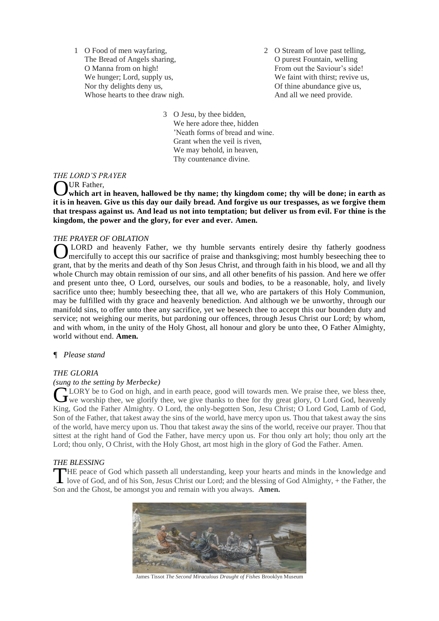1 O Food of men wayfaring, The Bread of Angels sharing, O Manna from on high! We hunger; Lord, supply us, Nor thy delights deny us, Whose hearts to thee draw nigh. 2 O Stream of love past telling, O purest Fountain, welling From out the Saviour's side! We faint with thirst; revive us, Of thine abundance give us, And all we need provide.

3 O Jesu, by thee bidden, We here adore thee, hidden 'Neath forms of bread and wine. Grant when the veil is riven, We may behold, in heaven, Thy countenance divine.

#### *THE LORD'S PRAYER*

#### UR Father,

**which art in heaven, hallowed be thy name; thy kingdom come; thy will be done; in earth as**  O **it is in heaven. Give us this day our daily bread. And forgive us our trespasses, as we forgive them that trespass against us. And lead us not into temptation; but deliver us from evil. For thine is the kingdom, the power and the glory, for ever and ever. Amen.**

#### *THE PRAYER OF OBLATION*

LORD and heavenly Father, we thy humble servants entirely desire thy fatherly goodness mercifully to accept this our sacrifice of praise and thanksgiving; most humbly beseeching thee to grant, that by the merits and death of thy Son Jesus Christ, and through faith in his blood, we and all thy whole Church may obtain remission of our sins, and all other benefits of his passion. And here we offer and present unto thee, O Lord, ourselves, our souls and bodies, to be a reasonable, holy, and lively sacrifice unto thee; humbly beseeching thee, that all we, who are partakers of this Holy Communion, may be fulfilled with thy grace and heavenly benediction. And although we be unworthy, through our manifold sins, to offer unto thee any sacrifice, yet we beseech thee to accept this our bounden duty and service; not weighing our merits, but pardoning our offences, through Jesus Christ our Lord; by whom, and with whom, in the unity of the Holy Ghost, all honour and glory be unto thee, O Father Almighty, world without end. **Amen.**  $\overline{O}$ 

#### *¶ Please stand*

#### *THE GLORIA*

#### *(sung to the setting by Merbecke)*

LORY be to God on high, and in earth peace, good will towards men. We praise thee, we bless thee, CLORY be to God on high, and in earth peace, good will towards men. We praise thee, we bless thee, we give thanks to thee for thy great glory, O Lord God, heavenly King, God the Father Almighty. O Lord, the only-begotten Son, Jesu Christ; O Lord God, Lamb of God, Son of the Father, that takest away the sins of the world, have mercy upon us. Thou that takest away the sins of the world, have mercy upon us. Thou that takest away the sins of the world, receive our prayer. Thou that sittest at the right hand of God the Father, have mercy upon us. For thou only art holy; thou only art the Lord; thou only, O Christ, with the Holy Ghost, art most high in the glory of God the Father. Amen.

#### *THE BLESSING*

HE peace of God which passeth all understanding, keep your hearts and minds in the knowledge and THE peace of God which passeth all understanding, keep your hearts and minds in the knowledge and love of God, and of his Son, Jesus Christ our Lord; and the blessing of God Almighty, + the Father, the Son and the Ghost, be amongst you and remain with you always. **Amen.**



James Tissot *The Second Miraculous Draught of Fishes* Brooklyn Museum